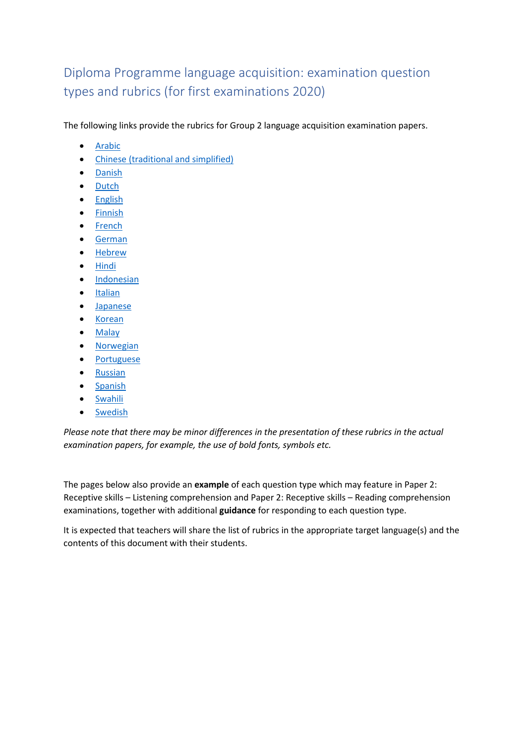# Diploma Programme language acquisition: examination question types and rubrics (for first examinations 2020)

The following links provide the rubrics for Group 2 language acquisition examination papers.

- [Arabic](http://xmltwo.ibo.org/publications/DP/Group1/d_1_a1lan_sup_1912_1/rubrics_ar.pdf)
- [Chinese \(traditional and simplified\)](http://xmltwo.ibo.org/publications/DP/Group1/d_1_a1lan_sup_1912_1/rubrics_zh.pdf)
- [Danish](http://xmltwo.ibo.org/publications/DP/Group1/d_1_a1lan_sup_1912_1/rubrics_da.pdf)
- [Dutch](http://xmltwo.ibo.org/publications/DP/Group1/d_1_a1lan_sup_1912_1/rubrics_nl.pdf)
- [English](http://xmltwo.ibo.org/publications/DP/Group1/d_1_a1lan_sup_1912_1/rubrics_en.pdf)
- [Finnish](http://xmltwo.ibo.org/publications/DP/Group1/d_1_a1lan_sup_1912_1/rubrics_fi.pdf)
- [French](http://xmltwo.ibo.org/publications/DP/Group1/d_1_a1lan_sup_1912_1/rubrics_fr.pdf)
- [German](http://xmltwo.ibo.org/publications/DP/Group1/d_1_a1lan_sup_1912_1/rubrics_de.pdf)
- [Hebrew](http://xmltwo.ibo.org/publications/DP/Group1/d_1_a1lan_sup_1912_1/rubrics_he.pdf)
- [Hindi](http://xmltwo.ibo.org/publications/DP/Group1/d_1_a1lan_sup_1912_1/rubrics_hi.pdf)
- [Indonesian](http://xmltwo.ibo.org/publications/DP/Group1/d_1_a1lan_sup_1912_1/rubrics_id.pdf)
- [Italian](http://xmltwo.ibo.org/publications/DP/Group1/d_1_a1lan_sup_1912_1/rubrics_it.pdf)
- [Japanese](http://xmltwo.ibo.org/publications/DP/Group1/d_1_a1lan_sup_1912_1/rubrics_ja.pdf)
- [Korean](http://xmltwo.ibo.org/publications/DP/Group1/d_1_a1lan_sup_1912_1/rubrics_ko.pdf)
- [Malay](http://xmltwo.ibo.org/publications/DP/Group1/d_1_a1lan_sup_1912_1/rubrics_ms.pdf)
- [Norwegian](http://xmltwo.ibo.org/publications/DP/Group1/d_1_a1lan_sup_1912_1/rubrics_no.pdf)
- [Portuguese](http://xmltwo.ibo.org/publications/DP/Group1/d_1_a1lan_sup_1912_1/rubrics_pt.pdf)
- [Russian](http://xmltwo.ibo.org/publications/DP/Group1/d_1_a1lan_sup_1912_1/rubrics_ru.pdf)
- [Spanish](http://xmltwo.ibo.org/publications/DP/Group1/d_1_a1lan_sup_1912_1/rubrics_es.pdf)
- **[Swahili](http://xmltwo.ibo.org/publications/DP/Group1/d_1_a1lan_sup_1912_1/rubrics_sw.pdf)**
- [Swedish](http://xmltwo.ibo.org/publications/DP/Group1/d_1_a1lan_sup_1912_1/rubrics_sv.pdf)

*Please note that there may be minor differences in the presentation of these rubrics in the actual examination papers, for example, the use of bold fonts, symbols etc.* 

The pages below also provide an **example** of each question type which may feature in Paper 2: Receptive skills – Listening comprehension and Paper 2: Receptive skills – Reading comprehension examinations, together with additional **guidance** for responding to each question type.

It is expected that teachers will share the list of rubrics in the appropriate target language(s) and the contents of this document with their students.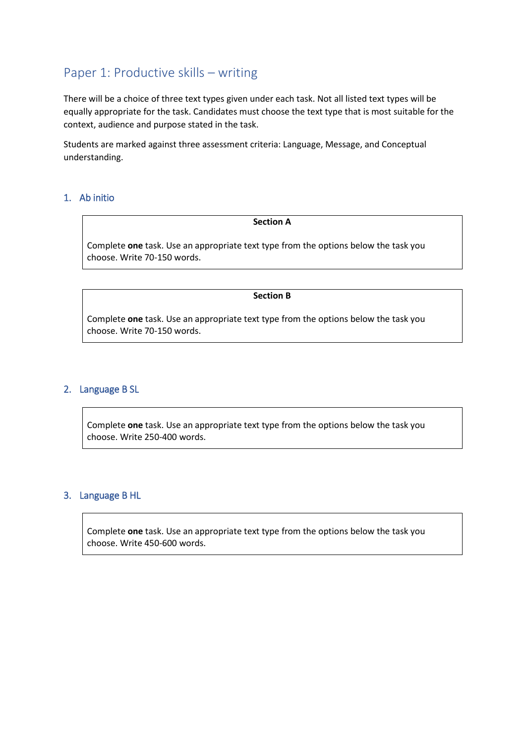## Paper 1: Productive skills – writing

There will be a choice of three text types given under each task. Not all listed text types will be equally appropriate for the task. Candidates must choose the text type that is most suitable for the context, audience and purpose stated in the task.

Students are marked against three assessment criteria: Language, Message, and Conceptual understanding.

## 1. Ab initio

**Section A**

Complete **one** task. Use an appropriate text type from the options below the task you choose. Write 70-150 words.

**Section B**

Complete **one** task. Use an appropriate text type from the options below the task you choose. Write 70-150 words.

## 2. Language B SL

Complete **one** task. Use an appropriate text type from the options below the task you choose. Write 250-400 words.

## 3. Language B HL

Complete **one** task. Use an appropriate text type from the options below the task you choose. Write 450-600 words.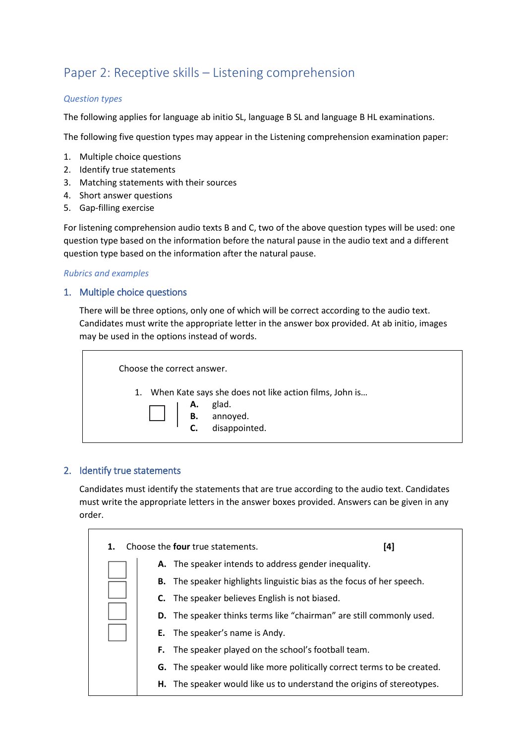## Paper 2: Receptive skills – Listening comprehension

#### *Question types*

The following applies for language ab initio SL, language B SL and language B HL examinations.

The following five question types may appear in the Listening comprehension examination paper:

- 1. Multiple choice questions
- 2. Identify true statements
- 3. Matching statements with their sources
- 4. Short answer questions
- 5. Gap-filling exercise

For listening comprehension audio texts B and C, two of the above question types will be used: one question type based on the information before the natural pause in the audio text and a different question type based on the information after the natural pause.

#### *Rubrics and examples*

## 1. Multiple choice questions

There will be three options, only one of which will be correct according to the audio text. Candidates must write the appropriate letter in the answer box provided. At ab initio, images may be used in the options instead of words.

| Choose the correct answer. |                                                                                                                                 |
|----------------------------|---------------------------------------------------------------------------------------------------------------------------------|
|                            | 1. When Kate says she does not like action films, John is<br><b>Example 13</b><br><b>B.</b> annoyed.<br><b>C.</b> disappointed. |

## 2. Identify true statements

Candidates must identify the statements that are true according to the audio text. Candidates must write the appropriate letters in the answer boxes provided. Answers can be given in any order.

| 1. | Choose the <b>four</b> true statements.<br>[4]                                 |
|----|--------------------------------------------------------------------------------|
|    | A. The speaker intends to address gender inequality.                           |
|    | B. The speaker highlights linguistic bias as the focus of her speech.          |
|    | <b>C.</b> The speaker believes English is not biased.                          |
|    | <b>D.</b> The speaker thinks terms like "chairman" are still commonly used.    |
|    | <b>E.</b> The speaker's name is Andy.                                          |
|    | The speaker played on the school's football team.<br>F.                        |
|    | <b>G.</b> The speaker would like more politically correct terms to be created. |
|    | H. The speaker would like us to understand the origins of stereotypes.         |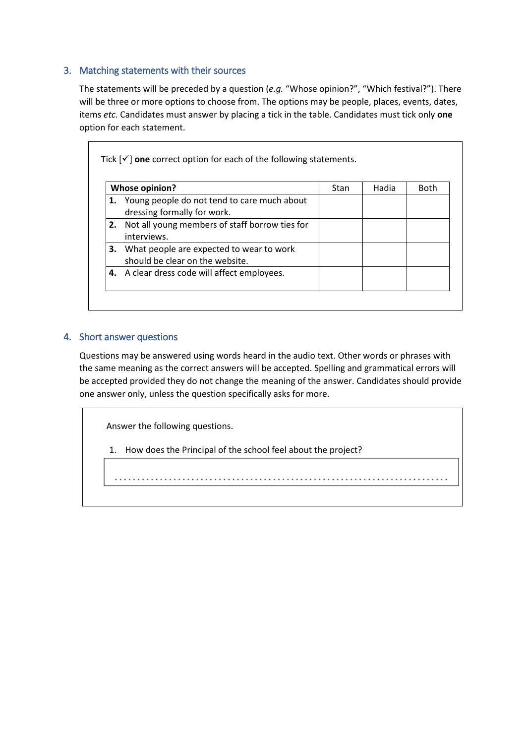## 3. Matching statements with their sources

The statements will be preceded by a question (*e.g.* "Whose opinion?", "Which festival?"). There will be three or more options to choose from. The options may be people, places, events, dates, items *etc.* Candidates must answer by placing a tick in the table. Candidates must tick only **one** option for each statement.

| <b>Whose opinion?</b>                                                          | Stan | Hadia | <b>Both</b> |
|--------------------------------------------------------------------------------|------|-------|-------------|
| 1. Young people do not tend to care much about<br>dressing formally for work.  |      |       |             |
| 2. Not all young members of staff borrow ties for<br>interviews.               |      |       |             |
| 3. What people are expected to wear to work<br>should be clear on the website. |      |       |             |
| 4. A clear dress code will affect employees.                                   |      |       |             |

## 4. Short answer questions

Questions may be answered using words heard in the audio text. Other words or phrases with the same meaning as the correct answers will be accepted. Spelling and grammatical errors will be accepted provided they do not change the meaning of the answer. Candidates should provide one answer only, unless the question specifically asks for more.

Answer the following questions.

1. How does the Principal of the school feel about the project?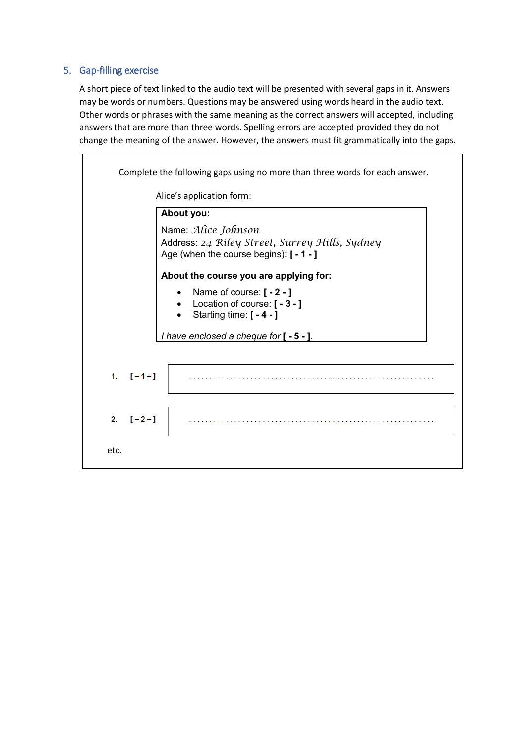## 5. Gap-filling exercise

A short piece of text linked to the audio text will be presented with several gaps in it. Answers may be words or numbers. Questions may be answered using words heard in the audio text. Other words or phrases with the same meaning as the correct answers will accepted, including answers that are more than three words. Spelling errors are accepted provided they do not change the meaning of the answer. However, the answers must fit grammatically into the gaps.

|                  | Complete the following gaps using no more than three words for each answer.<br>Alice's application form:                                                   |
|------------------|------------------------------------------------------------------------------------------------------------------------------------------------------------|
|                  | About you:                                                                                                                                                 |
|                  | Name: Alice Johnson<br>Address: 24 Riley Street, Surrey Hills, Sydney<br>Age (when the course begins): [ - 1 - ]<br>About the course you are applying for: |
|                  | Name of course: [ - 2 - ]<br>Location of course: [ - 3 - ]<br>Starting time: [ - 4 - ]<br>I have enclosed a cheque for [ - 5 - ].                          |
| $1. \quad [-1-]$ |                                                                                                                                                            |
| 2. $[-2 -]$      |                                                                                                                                                            |
| etc.             |                                                                                                                                                            |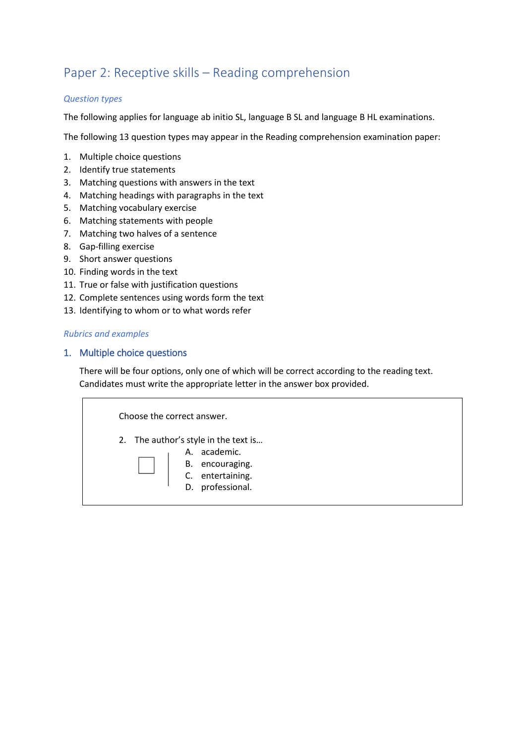## Paper 2: Receptive skills – Reading comprehension

#### *Question types*

The following applies for language ab initio SL, language B SL and language B HL examinations.

The following 13 question types may appear in the Reading comprehension examination paper:

- 1. Multiple choice questions
- 2. Identify true statements
- 3. Matching questions with answers in the text
- 4. Matching headings with paragraphs in the text
- 5. Matching vocabulary exercise
- 6. Matching statements with people
- 7. Matching two halves of a sentence
- 8. Gap-filling exercise
- 9. Short answer questions
- 10. Finding words in the text
- 11. True or false with justification questions
- 12. Complete sentences using words form the text
- 13. Identifying to whom or to what words refer

#### *Rubrics and examples*

#### 1. Multiple choice questions

There will be four options, only one of which will be correct according to the reading text. Candidates must write the appropriate letter in the answer box provided.

| Choose the correct answer.                                                                                        |              |  |
|-------------------------------------------------------------------------------------------------------------------|--------------|--|
| 2. The author's style in the text is<br>B. accounting.<br>B. encouraging.<br>C. entertaining.<br>D. professional. | A. academic. |  |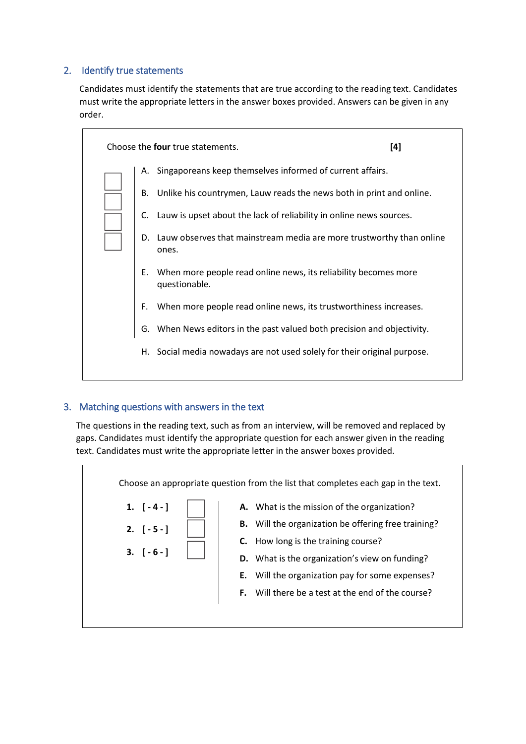## 2. Identify true statements

Candidates must identify the statements that are true according to the reading text. Candidates must write the appropriate letters in the answer boxes provided. Answers can be given in any order.

|      | Choose the <b>four</b> true statements.                                          | [4] |
|------|----------------------------------------------------------------------------------|-----|
| А.   | Singaporeans keep themselves informed of current affairs.                        |     |
| В.   | Unlike his countrymen, Lauw reads the news both in print and online.             |     |
|      | C. Lauw is upset about the lack of reliability in online news sources.           |     |
|      | D. Lauw observes that mainstream media are more trustworthy than online<br>ones. |     |
| Е.   | When more people read online news, its reliability becomes more<br>questionable. |     |
| F.   | When more people read online news, its trustworthiness increases.                |     |
| G.   | When News editors in the past valued both precision and objectivity.             |     |
| H. . | Social media nowadays are not used solely for their original purpose.            |     |
|      |                                                                                  |     |

## 3. Matching questions with answers in the text

The questions in the reading text, such as from an interview, will be removed and replaced by gaps. Candidates must identify the appropriate question for each answer given in the reading text. Candidates must write the appropriate letter in the answer boxes provided.

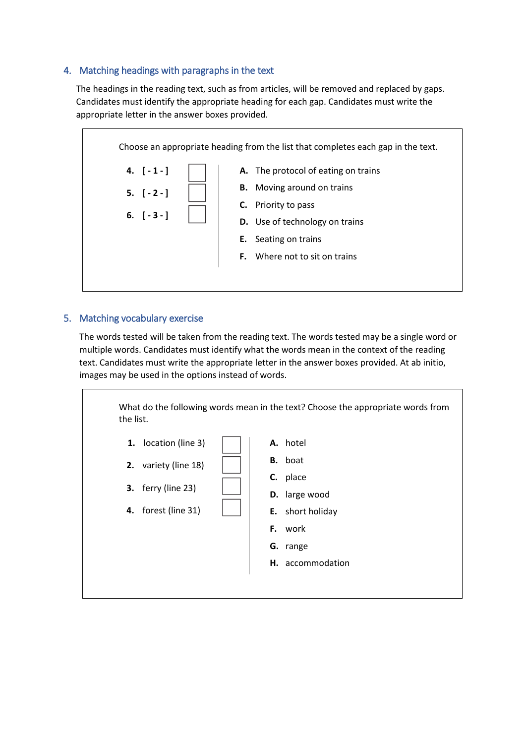## 4. Matching headings with paragraphs in the text

The headings in the reading text, such as from articles, will be removed and replaced by gaps. Candidates must identify the appropriate heading for each gap. Candidates must write the appropriate letter in the answer boxes provided.



#### 5. Matching vocabulary exercise

The words tested will be taken from the reading text. The words tested may be a single word or multiple words. Candidates must identify what the words mean in the context of the reading text. Candidates must write the appropriate letter in the answer boxes provided. At ab initio, images may be used in the options instead of words.

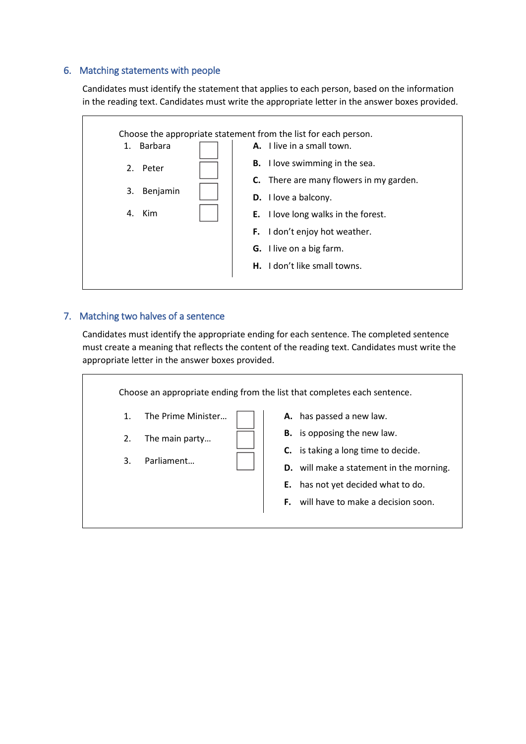#### 6. Matching statements with people

Candidates must identify the statement that applies to each person, based on the information in the reading text. Candidates must write the appropriate letter in the answer boxes provided.



#### 7. Matching two halves of a sentence

Candidates must identify the appropriate ending for each sentence. The completed sentence must create a meaning that reflects the content of the reading text. Candidates must write the appropriate letter in the answer boxes provided.

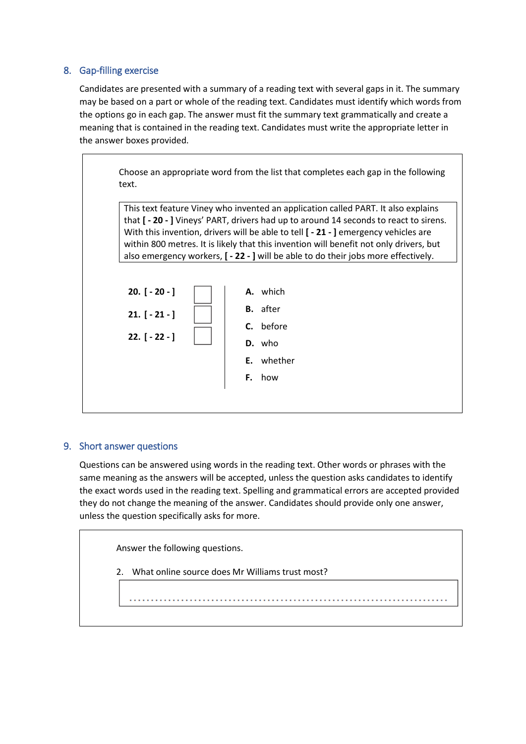## 8. Gap-filling exercise

Candidates are presented with a summary of a reading text with several gaps in it. The summary may be based on a part or whole of the reading text. Candidates must identify which words from the options go in each gap. The answer must fit the summary text grammatically and create a meaning that is contained in the reading text. Candidates must write the appropriate letter in the answer boxes provided.

> Choose an appropriate word from the list that completes each gap in the following text.

This text feature Viney who invented an application called PART. It also explains that **[ - 20 - ]** Vineys' PART, drivers had up to around 14 seconds to react to sirens. With this invention, drivers will be able to tell **[ - 21 - ]** emergency vehicles are within 800 metres. It is likely that this invention will benefit not only drivers, but also emergency workers, **[ - 22 - ]** will be able to do their jobs more effectively.



## 9. Short answer questions

Questions can be answered using words in the reading text. Other words or phrases with the same meaning as the answers will be accepted, unless the question asks candidates to identify the exact words used in the reading text. Spelling and grammatical errors are accepted provided they do not change the meaning of the answer. Candidates should provide only one answer, unless the question specifically asks for more.

Answer the following questions.

2. What online source does Mr Williams trust most?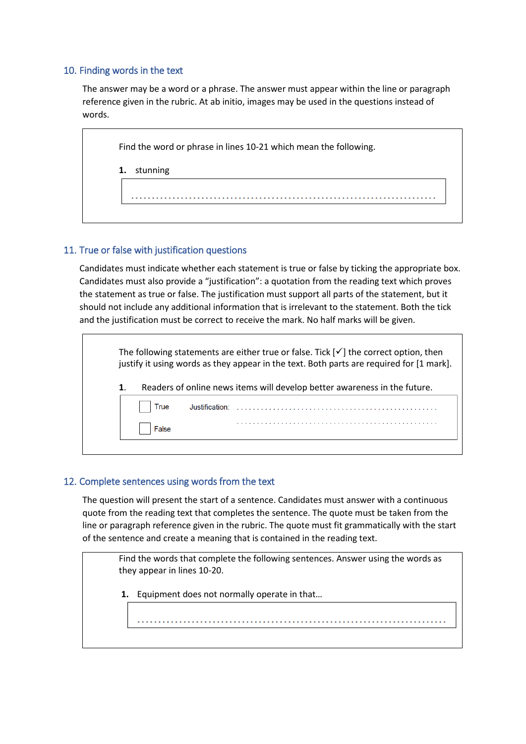## 10. Finding words in the text

The answer may be a word or a phrase. The answer must appear within the line or paragraph reference given in the rubric. At ab initio, images may be used in the questions instead of words.

|    | Find the word or phrase in lines 10-21 which mean the following. |  |  |  |  |  |  |  |  |  |
|----|------------------------------------------------------------------|--|--|--|--|--|--|--|--|--|
|    |                                                                  |  |  |  |  |  |  |  |  |  |
| 1. | stunning                                                         |  |  |  |  |  |  |  |  |  |
|    |                                                                  |  |  |  |  |  |  |  |  |  |
|    |                                                                  |  |  |  |  |  |  |  |  |  |

## 11. True or false with justification questions

Candidates must indicate whether each statement is true or false by ticking the appropriate box. Candidates must also provide a "justification": a quotation from the reading text which proves the statement as true or false. The justification must support all parts of the statement, but it should not include any additional information that is irrelevant to the statement. Both the tick and the justification must be correct to receive the mark. No half marks will be given.

|    |       |                | The following statements are either true or false. Tick $[\checkmark]$ the correct option, then<br>justify it using words as they appear in the text. Both parts are required for [1 mark]. |
|----|-------|----------------|---------------------------------------------------------------------------------------------------------------------------------------------------------------------------------------------|
| 1. |       |                | Readers of online news items will develop better awareness in the future.                                                                                                                   |
|    | True  | Justification: |                                                                                                                                                                                             |
|    | False |                |                                                                                                                                                                                             |

## 12. Complete sentences using words from the text

The question will present the start of a sentence. Candidates must answer with a continuous quote from the reading text that completes the sentence. The quote must be taken from the line or paragraph reference given in the rubric. The quote must fit grammatically with the start of the sentence and create a meaning that is contained in the reading text.

Find the words that complete the following sentences. Answer using the words as they appear in lines 10-20.

**1.** Equipment does not normally operate in that…